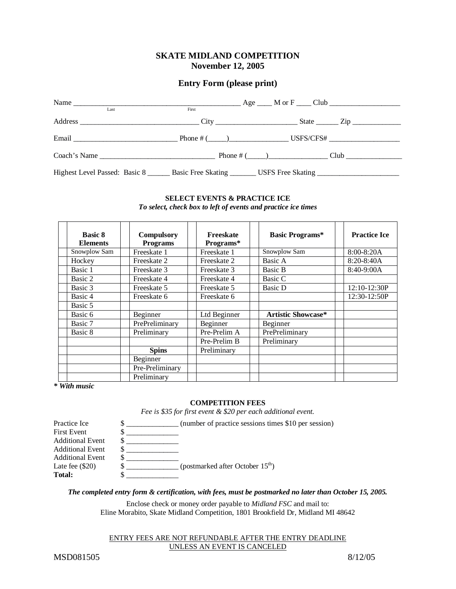# **SKATE MIDLAND COMPETITION November 12, 2005**

# **Entry Form (please print)**

| Last                                                                                                          | First |  |  |
|---------------------------------------------------------------------------------------------------------------|-------|--|--|
|                                                                                                               |       |  |  |
|                                                                                                               |       |  |  |
|                                                                                                               |       |  |  |
| Highest Level Passed: Basic 8 _________ Basic Free Skating _________ USFS Free Skating ______________________ |       |  |  |

## **SELECT EVENTS & PRACTICE ICE** *To select, check box to left of events and practice ice times*

| <b>Basic 8</b><br><b>Elements</b> | <b>Compulsory</b><br><b>Programs</b> | Freeskate<br>Programs* | <b>Basic Programs*</b>    | <b>Practice Ice</b> |
|-----------------------------------|--------------------------------------|------------------------|---------------------------|---------------------|
| Snowplow Sam                      | Freeskate 1                          | Freeskate 1            | Snowplow Sam              | $8:00 - 8:20A$      |
| Hockey                            | Freeskate 2                          | Freeskate 2            | Basic A                   | $8:20 - 8:40A$      |
| Basic 1                           | Freeskate 3                          | Freeskate 3            | Basic B                   | 8:40-9:00A          |
| Basic 2                           | Freeskate 4                          | Freeskate 4            | Basic C                   |                     |
| Basic 3                           | Freeskate 5                          | Freeskate 5            | Basic D                   | 12:10-12:30P        |
| Basic 4                           | Freeskate 6                          | Freeskate 6            |                           | 12:30-12:50P        |
| Basic 5                           |                                      |                        |                           |                     |
| Basic 6                           | Beginner                             | Ltd Beginner           | <b>Artistic Showcase*</b> |                     |
| Basic 7                           | PrePreliminary                       | Beginner               | Beginner                  |                     |
| Basic 8                           | Preliminary                          | Pre-Prelim A           | PrePreliminary            |                     |
|                                   |                                      | Pre-Prelim B           | Preliminary               |                     |
|                                   | <b>Spins</b>                         | Preliminary            |                           |                     |
|                                   | Beginner                             |                        |                           |                     |
|                                   | Pre-Preliminary                      |                        |                           |                     |
|                                   | Preliminary                          |                        |                           |                     |

*\* With music*

## **COMPETITION FEES**

*Fee is \$35 for first event & \$20 per each additional event.*

| Practice Ice            |    | (number of practice sessions times \$10 per session) |
|-------------------------|----|------------------------------------------------------|
| <b>First Event</b>      |    |                                                      |
| <b>Additional Event</b> |    |                                                      |
| <b>Additional Event</b> | ιD |                                                      |
| <b>Additional Event</b> |    |                                                      |
| Late fee $(\$20)$       |    | (postmarked after October 15 <sup>th</sup> )         |
| <b>Total:</b>           |    |                                                      |

*The completed entry form & certification, with fees, must be postmarked no later than October 15, 2005.*

Enclose check or money order payable to *Midland FSC* and mail to: Eline Morabito, Skate Midland Competition, 1801 Brookfield Dr, Midland MI 48642

#### ENTRY FEES ARE NOT REFUNDABLE AFTER THE ENTRY DEADLINE UNLESS AN EVENT IS CANCELED